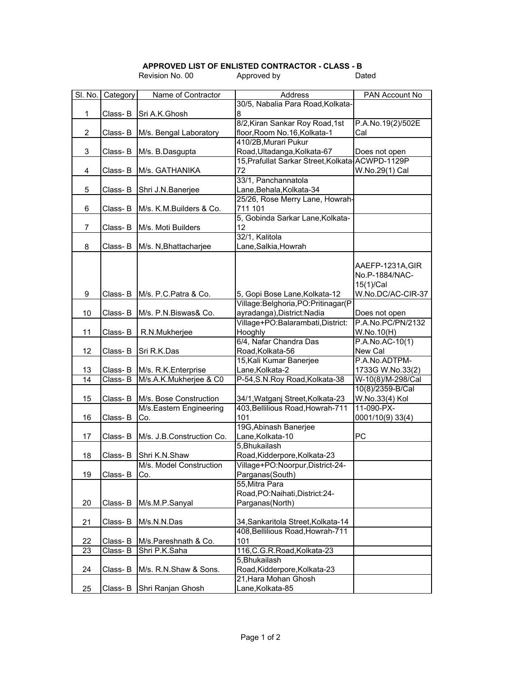## **APPROVED LIST OF ENLISTED CONTRACTOR - CLASS - B**

|                |          | Revision No. 00           | Approved by                                                          | Dated                              |
|----------------|----------|---------------------------|----------------------------------------------------------------------|------------------------------------|
| SI. No.        | Category | Name of Contractor        | Address                                                              | PAN Account No                     |
|                |          |                           | 30/5, Nabalia Para Road, Kolkata-                                    |                                    |
| $\mathbf{1}$   | Class-B  | Sri A.K.Ghosh             | 8                                                                    |                                    |
|                |          |                           | 8/2, Kiran Sankar Roy Road, 1st                                      | P.A.No.19(2)/502E                  |
| $\overline{2}$ | Class- B | M/s. Bengal Laboratory    | floor, Room No. 16, Kolkata-1                                        | Cal                                |
|                |          |                           | 410/2B, Murari Pukur                                                 |                                    |
| 3              | Class- B | M/s. B.Dasgupta           | Road, Ultadanga, Kolkata-67                                          | Does not open                      |
|                |          |                           | 15, Prafullat Sarkar Street, Kolkata-ACWPD-1129P                     |                                    |
| 4              | Class-B  | M/s. GATHANIKA            | 72                                                                   | W.No.29(1) Cal                     |
|                |          |                           | 33/1, Panchannatola                                                  |                                    |
| 5              | Class- B | Shri J.N.Banerjee         | Lane, Behala, Kolkata-34                                             |                                    |
|                |          |                           | 25/26, Rose Merry Lane, Howrah-                                      |                                    |
| 6              | Class- B | M/s. K.M.Builders & Co.   | 711 101                                                              |                                    |
|                |          |                           | 5, Gobinda Sarkar Lane, Kolkata-                                     |                                    |
| 7              | Class- B | M/s. Moti Builders        | 12                                                                   |                                    |
|                |          |                           | 32/1, Kalitola                                                       |                                    |
| 8              | Class- B | M/s. N, Bhattacharjee     | Lane, Salkia, Howrah                                                 |                                    |
|                |          |                           |                                                                      |                                    |
|                |          |                           |                                                                      | AAEFP-1231A, GIR                   |
|                |          |                           |                                                                      | No.P-1884/NAC-                     |
|                |          |                           |                                                                      | 15(1)/Cal                          |
| 9              | Class- B | M/s. P.C.Patra & Co.      | 5, Gopi Bose Lane, Kolkata-12                                        | W.No.DC/AC-CIR-37                  |
|                |          |                           | Village: Belghoria, PO: Pritinagar (P                                |                                    |
| 10             | Class-B  |                           |                                                                      |                                    |
|                |          | M/s. P.N.Biswas& Co.      | ayradanga), District: Nadia<br>Village+PO:Balarambati,District:      | Does not open<br>P.A.No.PC/PN/2132 |
| 11             |          |                           | Hooghly                                                              |                                    |
|                | Class- B | R.N.Mukherjee             | 6/4, Nafar Chandra Das                                               | W.No.10(H)<br>$P.A.No.AC-10(1)$    |
| 12             |          |                           | Road, Kolkata-56                                                     | New Cal                            |
|                | Class- B | Sri R.K.Das               | 15, Kali Kumar Banerjee                                              | P.A.No.ADTPM-                      |
| 13             | Class-B  | M/s. R.K.Enterprise       | Lane, Kolkata-2                                                      | 1733G W.No.33(2)                   |
| 14             | Class-B  | M/s.A.K.Mukherjee & C0    | P-54, S.N. Roy Road, Kolkata-38                                      | W-10(8)/M-298/Cal                  |
|                |          |                           |                                                                      | 10(8)/2359-B/Cal                   |
| 15             |          | M/s. Bose Construction    |                                                                      |                                    |
|                | Class- B | M/s.Eastern Engineering   | 34/1, Watganj Street, Kolkata-23<br>403, Bellilious Road, Howrah-711 | W.No.33(4) Kol<br>11-090-PX-       |
| 16             |          |                           | 101                                                                  |                                    |
|                | Class- B | Co.                       | 19G, Abinash Banerjee                                                | 0001/10(9) 33(4)                   |
|                |          |                           |                                                                      | PC                                 |
| 17             | Class-B  | M/s. J.B.Construction Co. | Lane, Kolkata-10                                                     |                                    |
|                |          |                           | 5, Bhukailash                                                        |                                    |
| 18             | Class-B  | Shri K.N.Shaw             | Road, Kidderpore, Kolkata-23                                         |                                    |
|                |          | M/s. Model Construction   | Village+PO:Noorpur,District-24-                                      |                                    |
| 19             | Class- B | Co.                       | Parganas(South)<br>55, Mitra Para                                    |                                    |
|                |          |                           |                                                                      |                                    |
|                |          |                           | Road, PO: Naihati, District: 24-                                     |                                    |
| 20             | Class- B | M/s.M.P.Sanyal            | Parganas(North)                                                      |                                    |
| 21             | Class- B | M/s.N.N.Das               | 34, Sankaritola Street, Kolkata-14                                   |                                    |
|                |          |                           | 408, Bellilious Road, Howrah-711                                     |                                    |
| 22             | Class- B | M/s.Pareshnath & Co.      | 101                                                                  |                                    |
| 23             |          |                           | 116, C.G.R. Road, Kolkata-23                                         |                                    |
|                | Class- B | Shri P.K.Saha             | 5, Bhukailash                                                        |                                    |
| 24             | Class- B | M/s. R.N.Shaw & Sons.     | Road, Kidderpore, Kolkata-23                                         |                                    |
|                |          |                           | 21, Hara Mohan Ghosh                                                 |                                    |
| 25             | Class-B  |                           | Lane, Kolkata-85                                                     |                                    |
|                |          | Shri Ranjan Ghosh         |                                                                      |                                    |